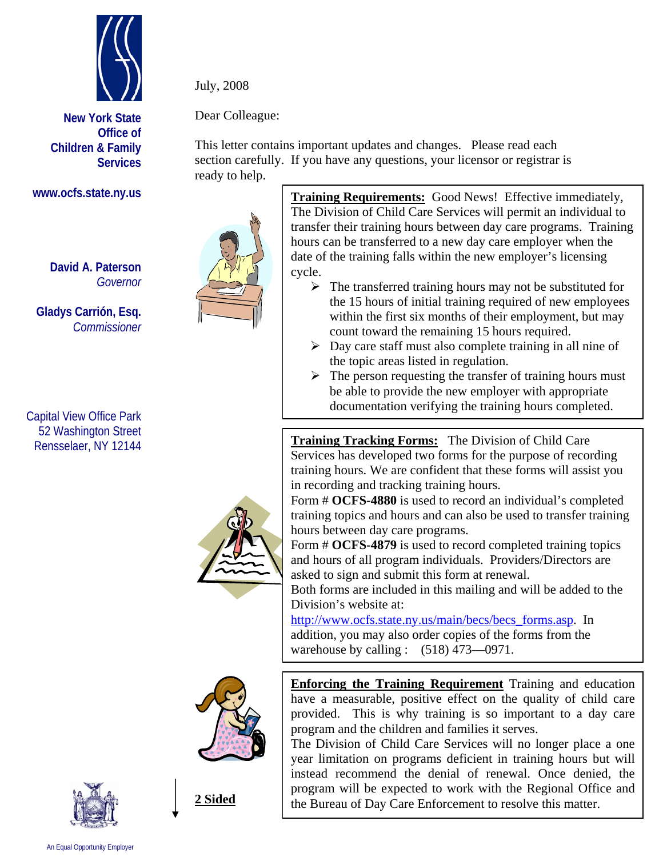

**New York State Office of Children & Family Services**

## **www.ocfs.state.ny.us**

**David A. Paterson**  *Governor*

**Gladys Carrión, Esq.**   *Commissioner* 

Capital View Office Park 52 Washington Street Rensselaer, NY 12144





**2 Sided**

July, 2008

Dear Colleague:

This letter contains important updates and changes. Please read each section carefully. If you have any questions, your licensor or registrar is ready to help.



**Training Requirements:** Good News! Effective immediately, The Division of Child Care Services will permit an individual to transfer their training hours between day care programs. Training hours can be transferred to a new day care employer when the date of the training falls within the new employer's licensing cycle.

- $\triangleright$  The transferred training hours may not be substituted for the 15 hours of initial training required of new employees within the first six months of their employment, but may count toward the remaining 15 hours required.
- $\triangleright$  Day care staff must also complete training in all nine of the topic areas listed in regulation.
- $\triangleright$  The person requesting the transfer of training hours must be able to provide the new employer with appropriate documentation verifying the training hours completed.

**Training Tracking Forms:** The Division of Child Care Services has developed two forms for the purpose of recording training hours. We are confident that these forms will assist you in recording and tracking training hours.

Form # **OCFS-4880** is used to record an individual's completed training topics and hours and can also be used to transfer training hours between day care programs.

Form # **OCFS-4879** is used to record completed training topics and hours of all program individuals. Providers/Directors are asked to sign and submit this form at renewal.

Both forms are included in this mailing and will be added to the Division's website at:

http://www.ocfs.state.ny.us/main/becs/becs\_forms.asp. In addition, you may also order copies of the forms from the warehouse by calling :  $(518)$  473-0971.

**Enforcing the Training Requirement** Training and education have a measurable, positive effect on the quality of child care provided. This is why training is so important to a day care program and the children and families it serves.

The Division of Child Care Services will no longer place a one year limitation on programs deficient in training hours but will instead recommend the denial of renewal. Once denied, the program will be expected to work with the Regional Office and the Bureau of Day Care Enforcement to resolve this matter.